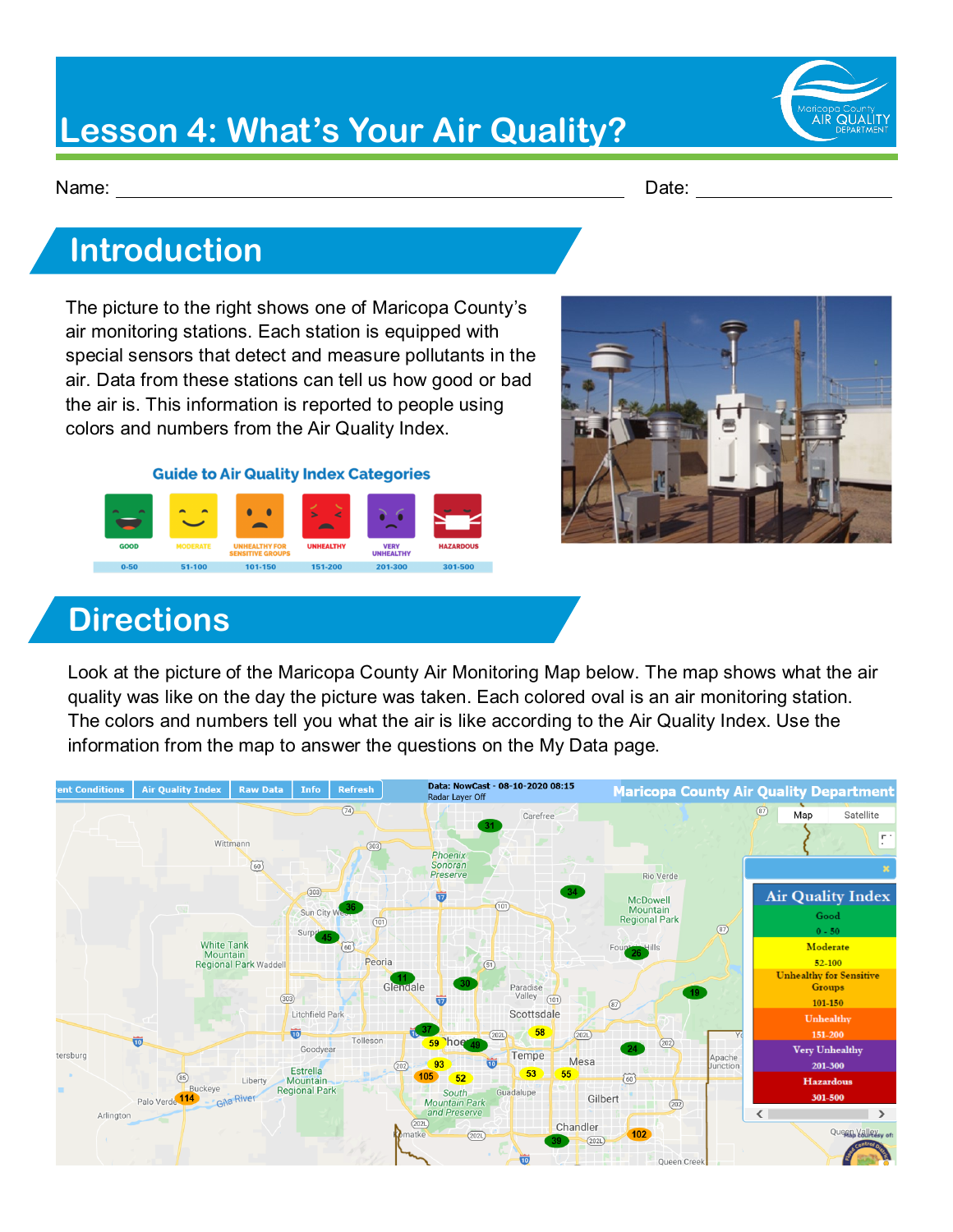## **Lesson 4: What's Your Air Quality?**

Name: Date:

#### **Introduction**

The picture to the right shows one of Maricopa County's air monitoring stations. Each station is equipped with special sensors that detect and measure pollutants in the air. Data from these stations can tell us how good or bad the air is. This information is reported to people using colors and numbers from the Air Quality Index.

**Guide to Air Quality Index Categories** 





#### **Directions**

Look at the picture of the Maricopa County Air Monitoring Map below. The map shows what the air quality was like on the day the picture was taken. Each colored oval is an air monitoring station. The colors and numbers tell you what the air is like according to the Air Quality Index. Use the information from the map to answer the questions on the My Data page.